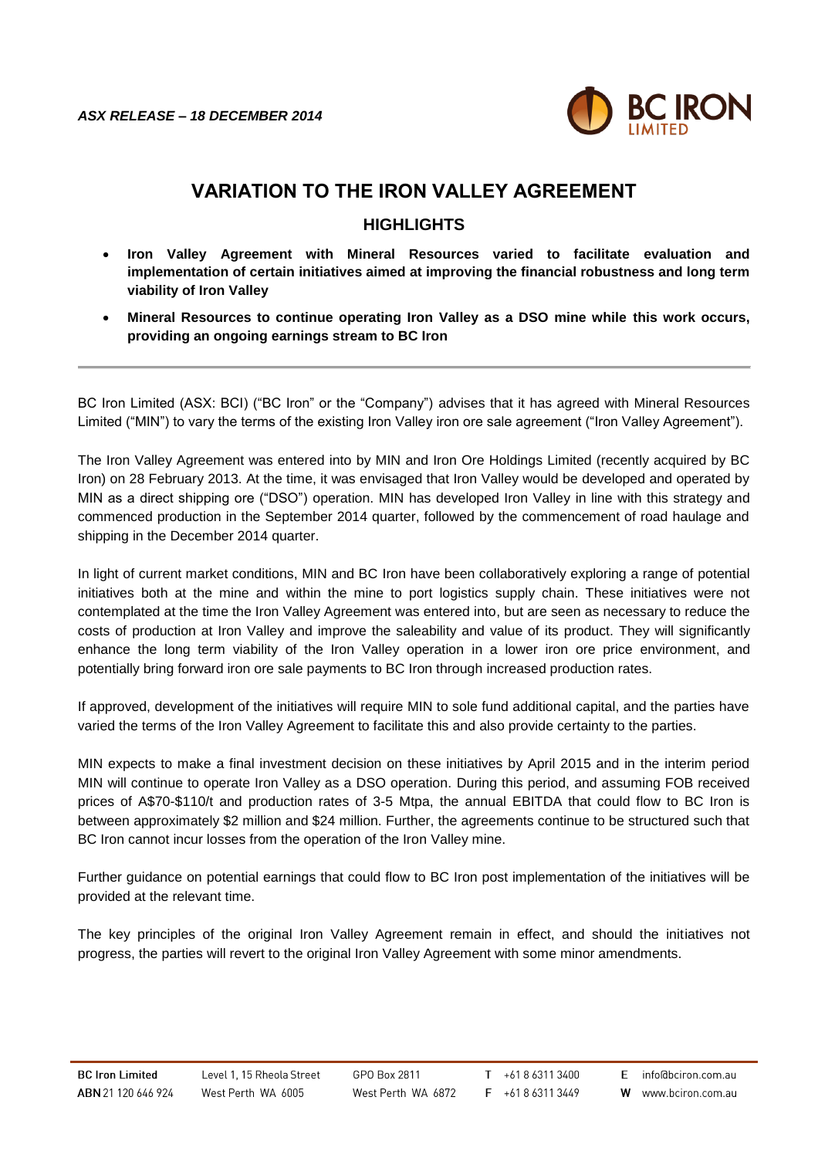

## **VARIATION TO THE IRON VALLEY AGREEMENT**

## **HIGHLIGHTS**

- **Iron Valley Agreement with Mineral Resources varied to facilitate evaluation and implementation of certain initiatives aimed at improving the financial robustness and long term viability of Iron Valley**
- **Mineral Resources to continue operating Iron Valley as a DSO mine while this work occurs, providing an ongoing earnings stream to BC Iron**

BC Iron Limited (ASX: BCI) ("BC Iron" or the "Company") advises that it has agreed with Mineral Resources Limited ("MIN") to vary the terms of the existing Iron Valley iron ore sale agreement ("Iron Valley Agreement").

The Iron Valley Agreement was entered into by MIN and Iron Ore Holdings Limited (recently acquired by BC Iron) on 28 February 2013. At the time, it was envisaged that Iron Valley would be developed and operated by MIN as a direct shipping ore ("DSO") operation. MIN has developed Iron Valley in line with this strategy and commenced production in the September 2014 quarter, followed by the commencement of road haulage and shipping in the December 2014 quarter.

In light of current market conditions, MIN and BC Iron have been collaboratively exploring a range of potential initiatives both at the mine and within the mine to port logistics supply chain. These initiatives were not contemplated at the time the Iron Valley Agreement was entered into, but are seen as necessary to reduce the costs of production at Iron Valley and improve the saleability and value of its product. They will significantly enhance the long term viability of the Iron Valley operation in a lower iron ore price environment, and potentially bring forward iron ore sale payments to BC Iron through increased production rates.

If approved, development of the initiatives will require MIN to sole fund additional capital, and the parties have varied the terms of the Iron Valley Agreement to facilitate this and also provide certainty to the parties.

MIN expects to make a final investment decision on these initiatives by April 2015 and in the interim period MIN will continue to operate Iron Valley as a DSO operation. During this period, and assuming FOB received prices of A\$70-\$110/t and production rates of 3-5 Mtpa, the annual EBITDA that could flow to BC Iron is between approximately \$2 million and \$24 million. Further, the agreements continue to be structured such that BC Iron cannot incur losses from the operation of the Iron Valley mine.

Further guidance on potential earnings that could flow to BC Iron post implementation of the initiatives will be provided at the relevant time.

The key principles of the original Iron Valley Agreement remain in effect, and should the initiatives not progress, the parties will revert to the original Iron Valley Agreement with some minor amendments.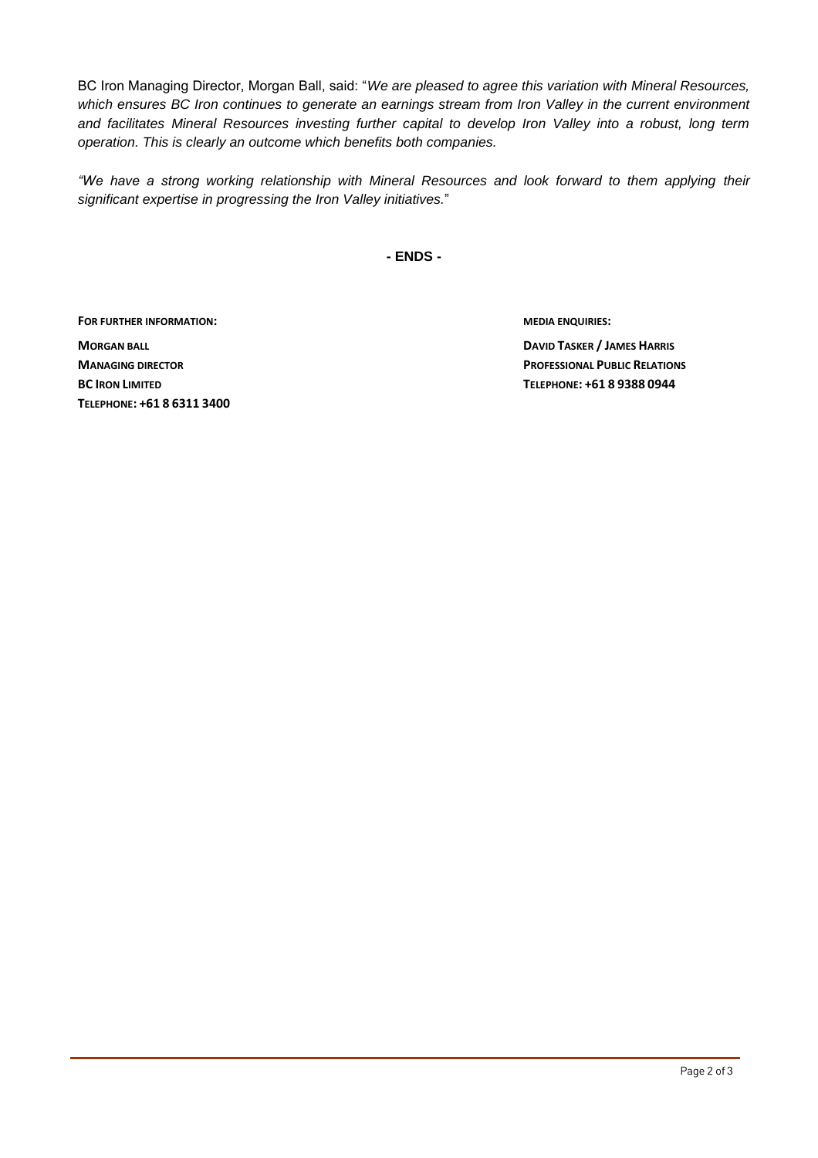BC Iron Managing Director, Morgan Ball, said: "*We are pleased to agree this variation with Mineral Resources, which ensures BC Iron continues to generate an earnings stream from Iron Valley in the current environment and facilitates Mineral Resources investing further capital to develop Iron Valley into a robust, long term operation. This is clearly an outcome which benefits both companies.* 

*"We have a strong working relationship with Mineral Resources and look forward to them applying their significant expertise in progressing the Iron Valley initiatives.*"

**- ENDS -**

**FOR FURTHER INFORMATION: MEDIA ENQUIRIES:**

**MORGAN BALL DAVID TASKER / JAMES HARRIS BC IRON LIMITED TELEPHONE: +61 8 9388 0944 TELEPHONE: +61 8 6311 3400**

**MANAGING DIRECTOR PROFESSIONAL PUBLIC RELATIONS**